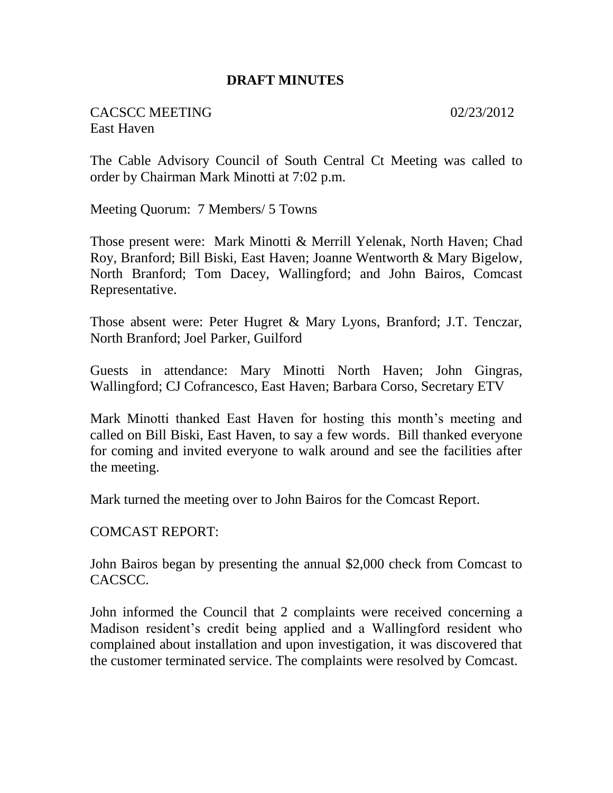### **DRAFT MINUTES**

CACSCC MEETING 02/23/2012 East Haven

The Cable Advisory Council of South Central Ct Meeting was called to order by Chairman Mark Minotti at 7:02 p.m.

Meeting Quorum: 7 Members/ 5 Towns

Those present were: Mark Minotti & Merrill Yelenak, North Haven; Chad Roy, Branford; Bill Biski, East Haven; Joanne Wentworth & Mary Bigelow, North Branford; Tom Dacey, Wallingford; and John Bairos, Comcast Representative.

Those absent were: Peter Hugret & Mary Lyons, Branford; J.T. Tenczar, North Branford; Joel Parker, Guilford

Guests in attendance: Mary Minotti North Haven; John Gingras, Wallingford; CJ Cofrancesco, East Haven; Barbara Corso, Secretary ETV

Mark Minotti thanked East Haven for hosting this month's meeting and called on Bill Biski, East Haven, to say a few words. Bill thanked everyone for coming and invited everyone to walk around and see the facilities after the meeting.

Mark turned the meeting over to John Bairos for the Comcast Report.

COMCAST REPORT:

John Bairos began by presenting the annual \$2,000 check from Comcast to CACSCC.

John informed the Council that 2 complaints were received concerning a Madison resident's credit being applied and a Wallingford resident who complained about installation and upon investigation, it was discovered that the customer terminated service. The complaints were resolved by Comcast.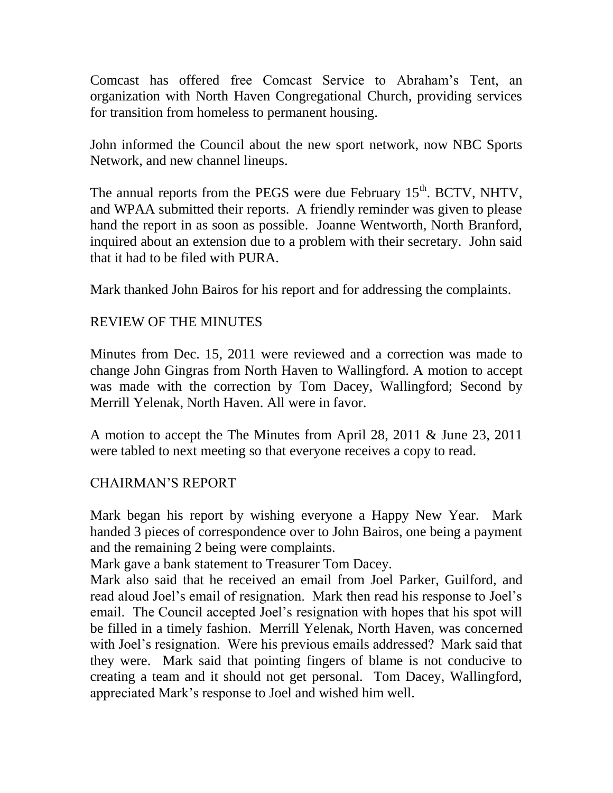Comcast has offered free Comcast Service to Abraham's Tent, an organization with North Haven Congregational Church, providing services for transition from homeless to permanent housing.

John informed the Council about the new sport network, now NBC Sports Network, and new channel lineups.

The annual reports from the PEGS were due February  $15<sup>th</sup>$ . BCTV, NHTV, and WPAA submitted their reports. A friendly reminder was given to please hand the report in as soon as possible. Joanne Wentworth, North Branford, inquired about an extension due to a problem with their secretary. John said that it had to be filed with PURA.

Mark thanked John Bairos for his report and for addressing the complaints.

# REVIEW OF THE MINUTES

Minutes from Dec. 15, 2011 were reviewed and a correction was made to change John Gingras from North Haven to Wallingford. A motion to accept was made with the correction by Tom Dacey, Wallingford; Second by Merrill Yelenak, North Haven. All were in favor.

A motion to accept the The Minutes from April 28, 2011 & June 23, 2011 were tabled to next meeting so that everyone receives a copy to read.

## CHAIRMAN'S REPORT

Mark began his report by wishing everyone a Happy New Year. Mark handed 3 pieces of correspondence over to John Bairos, one being a payment and the remaining 2 being were complaints.

Mark gave a bank statement to Treasurer Tom Dacey.

Mark also said that he received an email from Joel Parker, Guilford, and read aloud Joel's email of resignation. Mark then read his response to Joel's email. The Council accepted Joel's resignation with hopes that his spot will be filled in a timely fashion. Merrill Yelenak, North Haven, was concerned with Joel's resignation. Were his previous emails addressed? Mark said that they were. Mark said that pointing fingers of blame is not conducive to creating a team and it should not get personal. Tom Dacey, Wallingford, appreciated Mark's response to Joel and wished him well.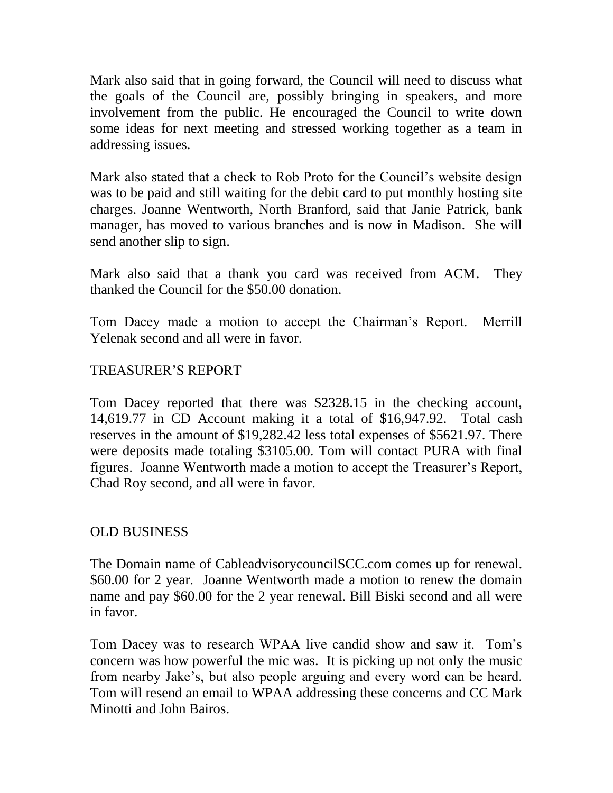Mark also said that in going forward, the Council will need to discuss what the goals of the Council are, possibly bringing in speakers, and more involvement from the public. He encouraged the Council to write down some ideas for next meeting and stressed working together as a team in addressing issues.

Mark also stated that a check to Rob Proto for the Council's website design was to be paid and still waiting for the debit card to put monthly hosting site charges. Joanne Wentworth, North Branford, said that Janie Patrick, bank manager, has moved to various branches and is now in Madison. She will send another slip to sign.

Mark also said that a thank you card was received from ACM. They thanked the Council for the \$50.00 donation.

Tom Dacey made a motion to accept the Chairman's Report. Merrill Yelenak second and all were in favor.

## TREASURER'S REPORT

Tom Dacey reported that there was \$2328.15 in the checking account, 14,619.77 in CD Account making it a total of \$16,947.92. Total cash reserves in the amount of \$19,282.42 less total expenses of \$5621.97. There were deposits made totaling \$3105.00. Tom will contact PURA with final figures. Joanne Wentworth made a motion to accept the Treasurer's Report, Chad Roy second, and all were in favor.

## OLD BUSINESS

The Domain name of CableadvisorycouncilSCC.com comes up for renewal. \$60.00 for 2 year. Joanne Wentworth made a motion to renew the domain name and pay \$60.00 for the 2 year renewal. Bill Biski second and all were in favor.

Tom Dacey was to research WPAA live candid show and saw it. Tom's concern was how powerful the mic was. It is picking up not only the music from nearby Jake's, but also people arguing and every word can be heard. Tom will resend an email to WPAA addressing these concerns and CC Mark Minotti and John Bairos.